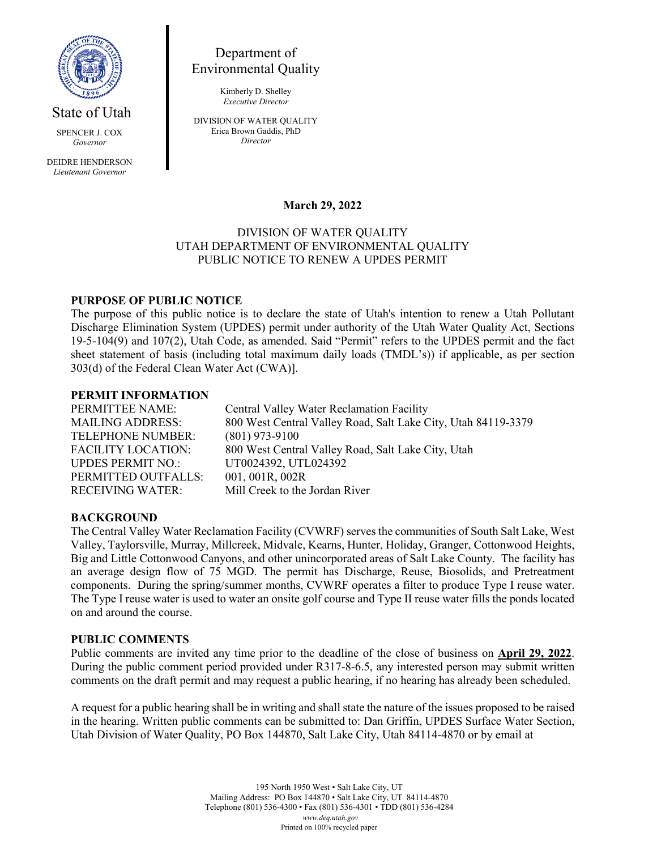

State of Utah

SPENCER J. COX *Governor*

DEIDRE HENDERSON *Lieutenant Governor*

Department of Environmental Quality

> Kimberly D. Shelley *Executive Director*

DIVISION OF WATER QUALITY Erica Brown Gaddis, PhD *Director*

### **March 29, 2022**

## DIVISION OF WATER QUALITY UTAH DEPARTMENT OF ENVIRONMENTAL QUALITY PUBLIC NOTICE TO RENEW A UPDES PERMIT

# **PURPOSE OF PUBLIC NOTICE**

The purpose of this public notice is to declare the state of Utah's intention to renew a Utah Pollutant Discharge Elimination System (UPDES) permit under authority of the Utah Water Quality Act, Sections 19-5-104(9) and 107(2), Utah Code, as amended. Said "Permit" refers to the UPDES permit and the fact sheet statement of basis (including total maximum daily loads (TMDL's)) if applicable, as per section 303(d) of the Federal Clean Water Act (CWA)].

### **PERMIT INFORMATION**

PERMITTEE NAME: Central Valley Water Reclamation Facility MAILING ADDRESS: 800 West Central Valley Road, Salt Lake City, Utah 84119-3379 TELEPHONE NUMBER: (801) 973-9100 FACILITY LOCATION: 800 West Central Valley Road, Salt Lake City, Utah UPDES PERMIT NO.: UT0024392, UTL024392 PERMITTED OUTFALLS: 001, 001R, 002R RECEIVING WATER: Mill Creek to the Jordan River

### **BACKGROUND**

The Central Valley Water Reclamation Facility (CVWRF) serves the communities of South Salt Lake, West Valley, Taylorsville, Murray, Millcreek, Midvale, Kearns, Hunter, Holiday, Granger, Cottonwood Heights, Big and Little Cottonwood Canyons, and other unincorporated areas of Salt Lake County. The facility has an average design flow of 75 MGD. The permit has Discharge, Reuse, Biosolids, and Pretreatment components. During the spring/summer months, CVWRF operates a filter to produce Type I reuse water. The Type I reuse water is used to water an onsite golf course and Type II reuse water fills the ponds located on and around the course.

#### **PUBLIC COMMENTS**

Public comments are invited any time prior to the deadline of the close of business on **April 29, 2022**. During the public comment period provided under R317-8-6.5, any interested person may submit written comments on the draft permit and may request a public hearing, if no hearing has already been scheduled.

A request for a public hearing shall be in writing and shall state the nature of the issues proposed to be raised in the hearing. Written public comments can be submitted to: Dan Griffin, UPDES Surface Water Section, Utah Division of Water Quality, PO Box 144870, Salt Lake City, Utah 84114-4870 or by email at